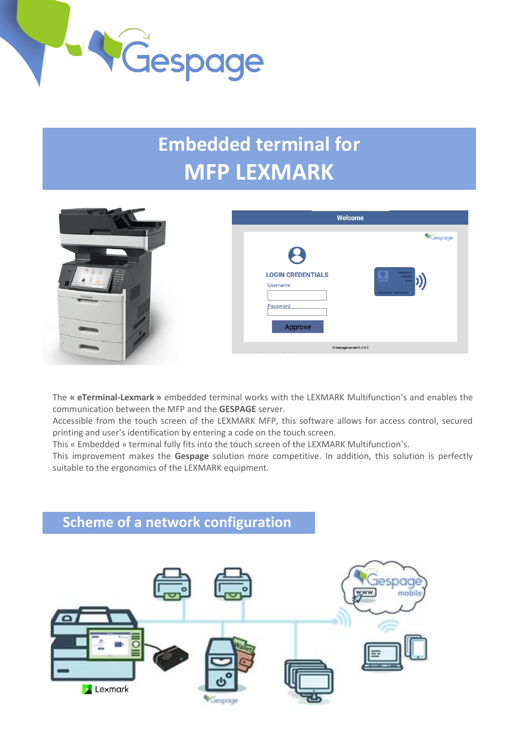

# **Embedded terminal for MFP LEXMARK**

| 2<br>×<br><b>LOGIN CREDENTIALS</b><br>$\frac{1}{2} \left( \frac{1}{2} \pi \right)$<br>Username<br><u>and the community of the community of the community of the community of the community of the community of the community of the community of the community of the community of the community of the community of the community</u><br>LEXMARK<br>Password<br>Approve | Gespage |
|--------------------------------------------------------------------------------------------------------------------------------------------------------------------------------------------------------------------------------------------------------------------------------------------------------------------------------------------------------------------------|---------|
| C GespageLexmark 6.3.0.0                                                                                                                                                                                                                                                                                                                                                 |         |

The **« eTerminal-Lexmark »** embedded terminal works with the LEXMARK Multifunction's and enables the communication between the MFP and the **GESPAGE** server.

Accessible from the touch screen of the LEXMARK MFP, this software allows for access control, secured printing and user's identification by entering a code on the touch screen.

This « Embedded » terminal fully fits into the touch screen of the LEXMARK Multifunction's.

This improvement makes the **Gespage** solution more competitive. In addition, this solution is perfectly suitable to the ergonomics of the LEXMARK equipment.

# **Scheme of a network configuration**